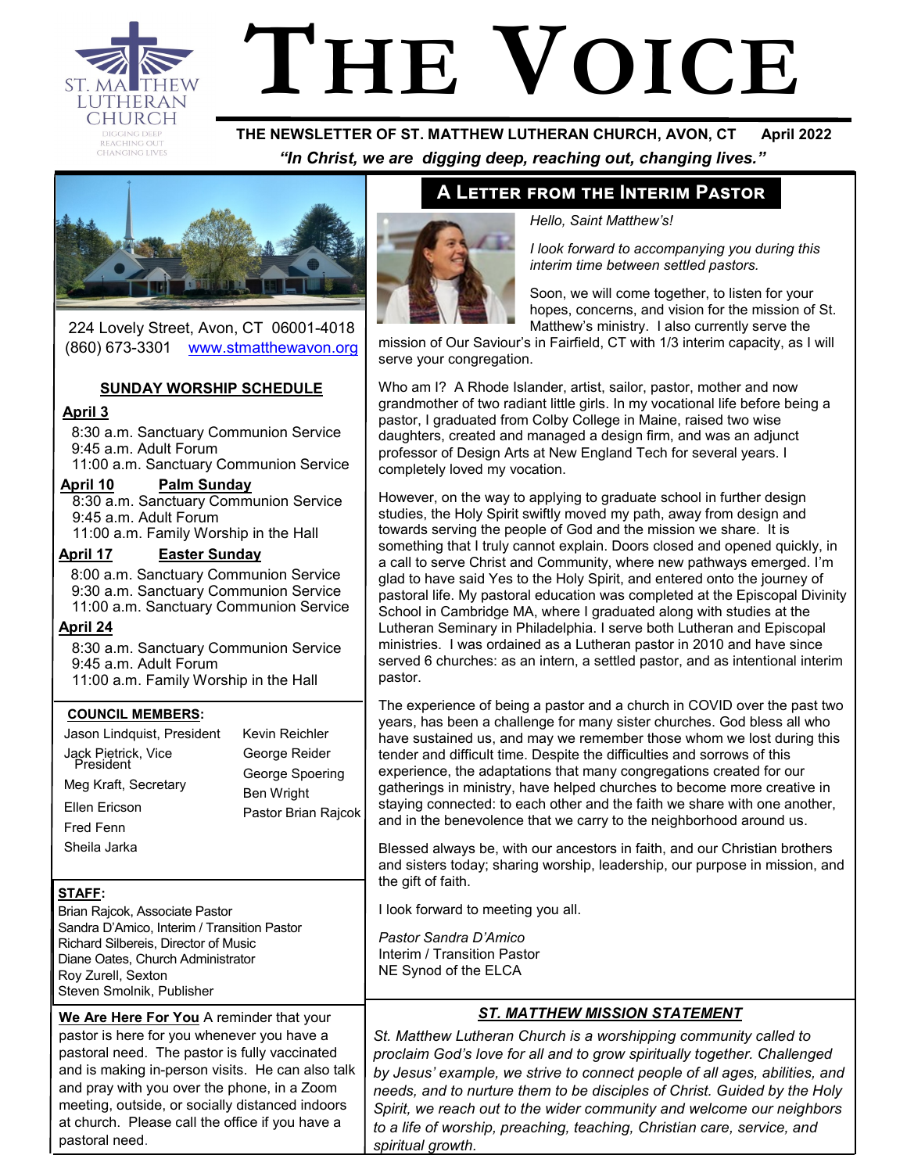

# **THE VOICE**

 **THE NEWSLETTER OF ST. MATTHEW LUTHERAN CHURCH, AVON, CT April 2022**  *"In Christ, we are digging deep, reaching out, changing lives."*



224 Lovely Street, Avon, CT 06001-4018 (860) 673-3301 [www.stmatthewavon.org](https://www.stmatthewavon.org/)

#### **SUNDAY WORSHIP SCHEDULE**

#### **April 3**

8:30 a.m. Sanctuary Communion Service 9:45 a.m. Adult Forum

11:00 a.m. Sanctuary Communion Service **April 10 Palm Sunday**

 8:30 a.m. Sanctuary Communion Service 9:45 a.m. Adult Forum 11:00 a.m. Family Worship in the Hall

#### **April 17 Easter Sunday**

8:00 a.m. Sanctuary Communion Service 9:30 a.m. Sanctuary Communion Service 11:00 a.m. Sanctuary Communion Service

#### **April 24**

8:30 a.m. Sanctuary Communion Service 9:45 a.m. Adult Forum 11:00 a.m. Family Worship in the Hall

#### **COUNCIL MEMBERS:**

| Jason Lindquist, President                               | Kevin Reichler                           |  |  |
|----------------------------------------------------------|------------------------------------------|--|--|
| Jack Pietrick, Vice<br>President<br>Meg Kraft, Secretary | George Reider<br>George Spoering         |  |  |
| Ellen Ericson<br><b>Fred Fenn</b><br>Sheila Jarka        | <b>Ben Wright</b><br>Pastor Brian Rajcok |  |  |
|                                                          |                                          |  |  |

#### **STAFF:**

Brian Rajcok, Associate Pastor Sandra D'Amico, Interim / Transition Pastor Richard Silbereis, Director of Music Diane Oates, Church Administrator Roy Zurell, Sexton Steven Smolnik, Publisher

**We Are Here For You** A reminder that your pastor is here for you whenever you have a pastoral need. The pastor is fully vaccinated and is making in-person visits. He can also talk and pray with you over the phone, in a Zoom meeting, outside, or socially distanced indoors at church. Please call the office if you have a pastoral need.

# **A Letter from the Interim Pastor**



#### *Hello, Saint Matthew's!*

*I look forward to accompanying you during this interim time between settled pastors.* 

Soon, we will come together, to listen for your hopes, concerns, and vision for the mission of St. Matthew's ministry. I also currently serve the

mission of Our Saviour's in Fairfield, CT with 1/3 interim capacity, as I will serve your congregation.

Who am I? A Rhode Islander, artist, sailor, pastor, mother and now grandmother of two radiant little girls. In my vocational life before being a pastor, I graduated from Colby College in Maine, raised two wise daughters, created and managed a design firm, and was an adjunct professor of Design Arts at New England Tech for several years. I completely loved my vocation.

However, on the way to applying to graduate school in further design studies, the Holy Spirit swiftly moved my path, away from design and towards serving the people of God and the mission we share. It is something that I truly cannot explain. Doors closed and opened quickly, in a call to serve Christ and Community, where new pathways emerged. I'm glad to have said Yes to the Holy Spirit, and entered onto the journey of pastoral life. My pastoral education was completed at the Episcopal Divinity School in Cambridge MA, where I graduated along with studies at the Lutheran Seminary in Philadelphia. I serve both Lutheran and Episcopal ministries. I was ordained as a Lutheran pastor in 2010 and have since served 6 churches: as an intern, a settled pastor, and as intentional interim pastor.

The experience of being a pastor and a church in COVID over the past two years, has been a challenge for many sister churches. God bless all who have sustained us, and may we remember those whom we lost during this tender and difficult time. Despite the difficulties and sorrows of this experience, the adaptations that many congregations created for our gatherings in ministry, have helped churches to become more creative in staying connected: to each other and the faith we share with one another, and in the benevolence that we carry to the neighborhood around us.

Blessed always be, with our ancestors in faith, and our Christian brothers and sisters today; sharing worship, leadership, our purpose in mission, and the gift of faith.

I look forward to meeting you all.

*Pastor Sandra D'Amico*  Interim / Transition Pastor NE Synod of the ELCA

#### *ST. MATTHEW MISSION STATEMENT*

*St. Matthew Lutheran Church is a worshipping community called to proclaim God's love for all and to grow spiritually together. Challenged by Jesus' example, we strive to connect people of all ages, abilities, and needs, and to nurture them to be disciples of Christ. Guided by the Holy Spirit, we reach out to the wider community and welcome our neighbors to a life of worship, preaching, teaching, Christian care, service, and spiritual growth.*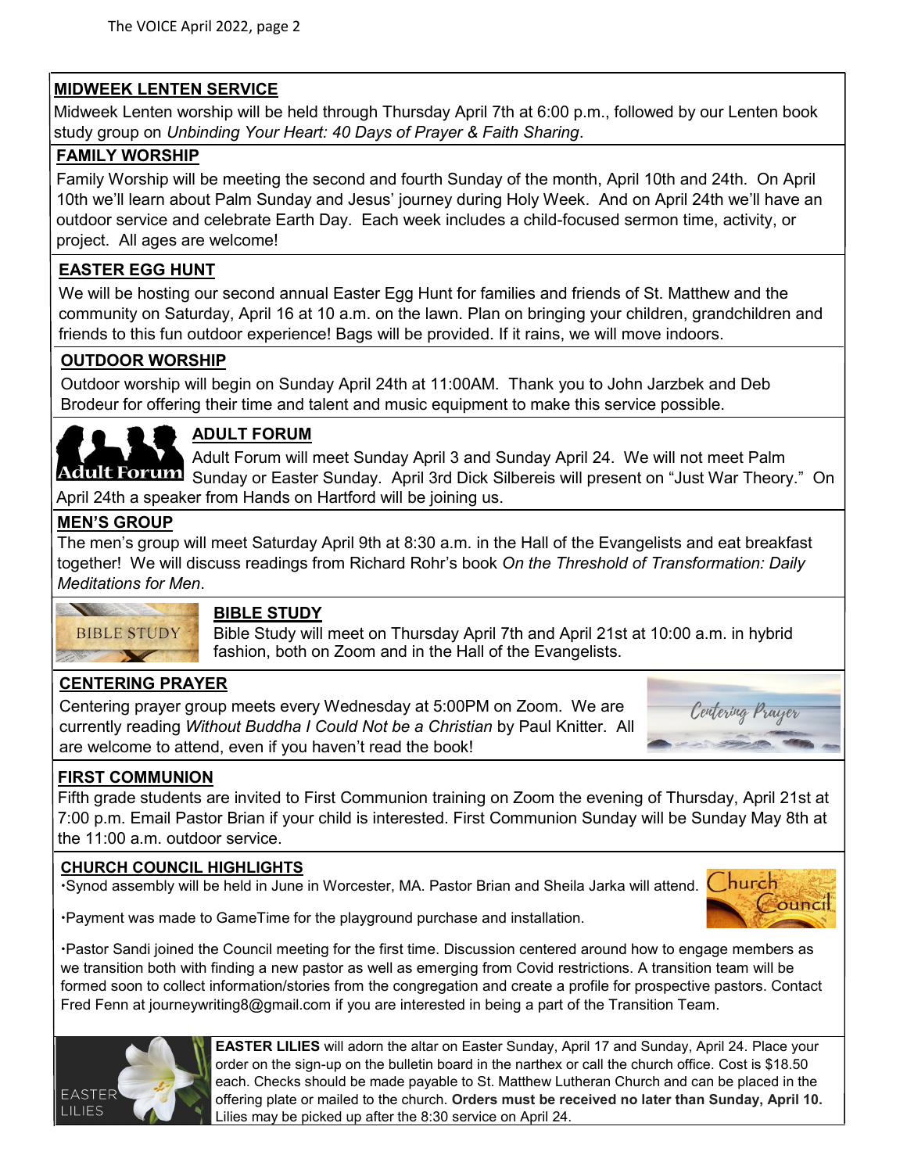# **MIDWEEK LENTEN SERVICE**

Midweek Lenten worship will be held through Thursday April 7th at 6:00 p.m., followed by our Lenten book study group on *Unbinding Your Heart: 40 Days of Prayer & Faith Sharing*.

#### **FAMILY WORSHIP**

Family Worship will be meeting the second and fourth Sunday of the month, April 10th and 24th. On April 10th we'll learn about Palm Sunday and Jesus' journey during Holy Week. And on April 24th we'll have an outdoor service and celebrate Earth Day. Each week includes a child-focused sermon time, activity, or project. All ages are welcome!

## **EASTER EGG HUNT**

We will be hosting our second annual Easter Egg Hunt for families and friends of St. Matthew and the community on Saturday, April 16 at 10 a.m. on the lawn. Plan on bringing your children, grandchildren and friends to this fun outdoor experience! Bags will be provided. If it rains, we will move indoors.

## **OUTDOOR WORSHIP**

Outdoor worship will begin on Sunday April 24th at 11:00AM. Thank you to John Jarzbek and Deb Brodeur for offering their time and talent and music equipment to make this service possible.



# **ADULT FORUM**

Adult Forum will meet Sunday April 3 and Sunday April 24. We will not meet Palm Adult Forum Sunday or Easter Sunday. April 3rd Dick Silbereis will present on "Just War Theory." On April 24th a speaker from Hands on Hartford will be joining us.

#### **MEN'S GROUP**

The men's group will meet Saturday April 9th at 8:30 a.m. in the Hall of the Evangelists and eat breakfast together! We will discuss readings from Richard Rohr's book *On the Threshold of Transformation: Daily Meditations for Men*.



#### **BIBLE STUDY**

Bible Study will meet on Thursday April 7th and April 21st at 10:00 a.m. in hybrid fashion, both on Zoom and in the Hall of the Evangelists.

# **CENTERING PRAYER**

Centering prayer group meets every Wednesday at 5:00PM on Zoom. We are currently reading *Without Buddha I Could Not be a Christian* by Paul Knitter. All are welcome to attend, even if you haven't read the book!



## **FIRST COMMUNION**

Fifth grade students are invited to First Communion training on Zoom the evening of Thursday, April 21st at 7:00 p.m. Email Pastor Brian if your child is interested. First Communion Sunday will be Sunday May 8th at the 11:00 a.m. outdoor service.

#### **CHURCH COUNCIL HIGHLIGHTS**

•Synod assembly will be held in June in Worcester, MA. Pastor Brian and Sheila Jarka will attend. Church



Payment was made to GameTime for the playground purchase and installation.

Pastor Sandi joined the Council meeting for the first time. Discussion centered around how to engage members as we transition both with finding a new pastor as well as emerging from Covid restrictions. A transition team will be formed soon to collect information/stories from the congregation and create a profile for prospective pastors. Contact Fred Fenn at journeywriting8@gmail.com if you are interested in being a part of the Transition Team.



**EASTER LILIES** will adorn the altar on Easter Sunday, April 17 and Sunday, April 24. Place your order on the sign-up on the bulletin board in the narthex or call the church office. Cost is \$18.50 each. Checks should be made payable to St. Matthew Lutheran Church and can be placed in the offering plate or mailed to the church. **Orders must be received no later than Sunday, April 10.** Lilies may be picked up after the 8:30 service on April 24.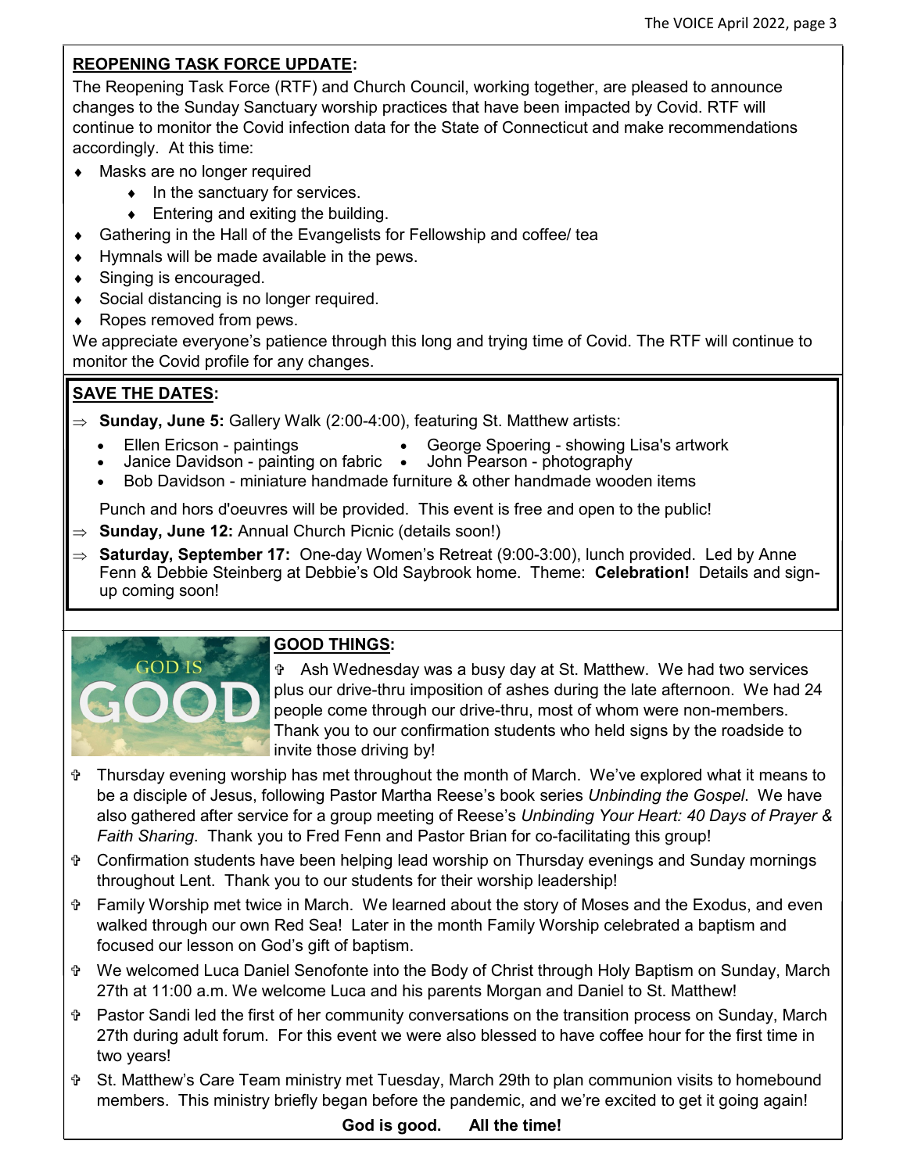#### **REOPENING TASK FORCE UPDATE:**

The Reopening Task Force (RTF) and Church Council, working together, are pleased to announce changes to the Sunday Sanctuary worship practices that have been impacted by Covid. RTF will continue to monitor the Covid infection data for the State of Connecticut and make recommendations accordingly. At this time:

- Masks are no longer required
	- $\bullet$  In the sanctuary for services.
	- $\bullet$  Entering and exiting the building.
- Gathering in the Hall of the Evangelists for Fellowship and coffee/ tea
- $\bullet$  Hymnals will be made available in the pews.
- ◆ Singing is encouraged.
- ◆ Social distancing is no longer required.
- ◆ Ropes removed from pews.

We appreciate everyone's patience through this long and trying time of Covid. The RTF will continue to monitor the Covid profile for any changes.

# **SAVE THE DATES:**

- **Sunday, June 5:** Gallery Walk (2:00-4:00), featuring St. Matthew artists:
	-
	- Ellen Ericson paintings George Spoering showing Lisa's artwork
	- Janice Davidson painting on fabric John Pearson photography
	- Bob Davidson miniature handmade furniture & other handmade wooden items

Punch and hors d'oeuvres will be provided. This event is free and open to the public!

- **Sunday, June 12:** Annual Church Picnic (details soon!)
- **Saturday, September 17:** One-day Women's Retreat (9:00-3:00), lunch provided. Led by Anne Fenn & Debbie Steinberg at Debbie's Old Saybrook home. Theme: **Celebration!** Details and signup coming soon!



## **GOOD THINGS:**

 Ash Wednesday was a busy day at St. Matthew. We had two services plus our drive-thru imposition of ashes during the late afternoon. We had 24 people come through our drive-thru, most of whom were non-members. Thank you to our confirmation students who held signs by the roadside to invite those driving by!

- Thursday evening worship has met throughout the month of March. We've explored what it means to be a disciple of Jesus, following Pastor Martha Reese's book series *Unbinding the Gospel*. We have also gathered after service for a group meeting of Reese's *Unbinding Your Heart: 40 Days of Prayer & Faith Sharing*. Thank you to Fred Fenn and Pastor Brian for co-facilitating this group!
- Confirmation students have been helping lead worship on Thursday evenings and Sunday mornings throughout Lent. Thank you to our students for their worship leadership!
- Family Worship met twice in March. We learned about the story of Moses and the Exodus, and even walked through our own Red Sea! Later in the month Family Worship celebrated a baptism and focused our lesson on God's gift of baptism.
- We welcomed Luca Daniel Senofonte into the Body of Christ through Holy Baptism on Sunday, March 27th at 11:00 a.m. We welcome Luca and his parents Morgan and Daniel to St. Matthew!
- Pastor Sandi led the first of her community conversations on the transition process on Sunday, March 27th during adult forum. For this event we were also blessed to have coffee hour for the first time in two years!
- St. Matthew's Care Team ministry met Tuesday, March 29th to plan communion visits to homebound members. This ministry briefly began before the pandemic, and we're excited to get it going again!

**God is good. All the time!**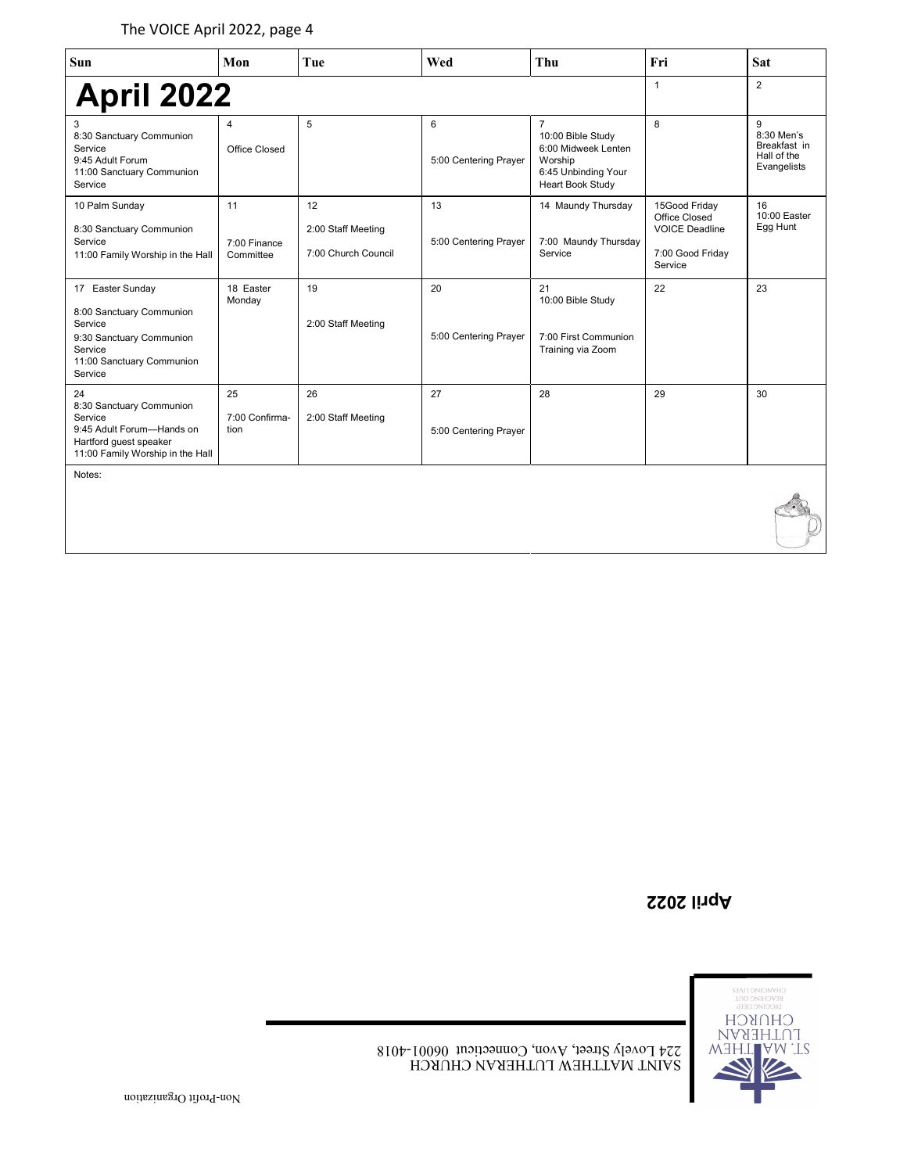| Sun                                                                                                                                    | Mon                             | Tue                                             | Wed                         | Thu                                                                                                              | Fri                                                                                    | Sat                                                           |
|----------------------------------------------------------------------------------------------------------------------------------------|---------------------------------|-------------------------------------------------|-----------------------------|------------------------------------------------------------------------------------------------------------------|----------------------------------------------------------------------------------------|---------------------------------------------------------------|
| <b>April 2022</b>                                                                                                                      |                                 |                                                 |                             |                                                                                                                  | $\mathbf{1}$                                                                           | $\overline{2}$                                                |
| 3<br>8:30 Sanctuary Communion<br>Service<br>9:45 Adult Forum<br>11:00 Sanctuary Communion<br>Service                                   | $\overline{4}$<br>Office Closed | 5                                               | 6<br>5:00 Centering Prayer  | $\overline{7}$<br>10:00 Bible Study<br>6:00 Midweek Lenten<br>Worship<br>6:45 Unbinding Your<br>Heart Book Study | 8                                                                                      | 9<br>8:30 Men's<br>Breakfast in<br>Hall of the<br>Evangelists |
| 10 Palm Sunday<br>8:30 Sanctuary Communion<br>Service<br>11:00 Family Worship in the Hall                                              | 11<br>7:00 Finance<br>Committee | 12<br>2:00 Staff Meeting<br>7:00 Church Council | 13<br>5:00 Centering Prayer | 14 Maundy Thursday<br>7:00 Maundy Thursday<br>Service                                                            | 15Good Friday<br>Office Closed<br><b>VOICE Deadline</b><br>7:00 Good Friday<br>Service | 16<br>10:00 Easter<br>Egg Hunt                                |
| 17 Easter Sunday<br>8:00 Sanctuary Communion<br>Service<br>9:30 Sanctuary Communion<br>Service<br>11:00 Sanctuary Communion<br>Service | 18 Easter<br>Monday             | 19<br>2:00 Staff Meeting                        | 20<br>5:00 Centering Prayer | 21<br>10:00 Bible Study<br>7:00 First Communion<br>Training via Zoom                                             | 22                                                                                     | 23                                                            |
| 24<br>8:30 Sanctuary Communion<br>Service<br>9:45 Adult Forum-Hands on<br>Hartford guest speaker<br>11:00 Family Worship in the Hall   | 25<br>7:00 Confirma-<br>tion    | 26<br>2:00 Staff Meeting                        | 27<br>5:00 Centering Prayer | 28                                                                                                               | 29                                                                                     | 30                                                            |
| Notes:                                                                                                                                 |                                 |                                                 |                             |                                                                                                                  |                                                                                        |                                                               |

**April 2022**



Τ